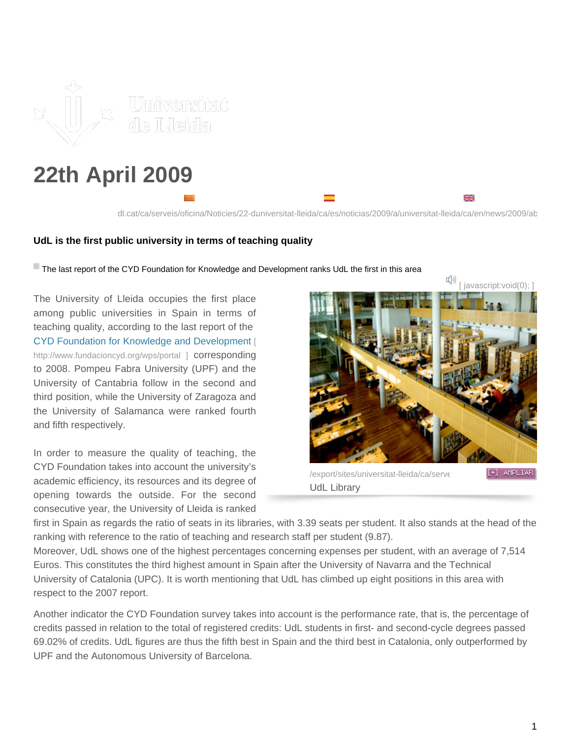

## **22th April 2009**

dl.cat/ca/serveis/oficina/Noticies/22-daniversitat-lleida/ca/es/noticias/2009/a/universitat-lleida/ca/en/news/2009/ab

## **UdL is the first public university in terms of teaching quality**

The last report of the CYD Foundation for Knowledge and Development ranks UdL the first in this area

The University of Lleida occupies the first place among public universities in Spain in terms of teaching quality, according to the last report of the [CYD Foundation for Knowledge and Development](http://www.fundacioncyd.org/wps/portal) [\[](http://www.fundacioncyd.org/wps/portal) <http://www.fundacioncyd.org/wps/portal>] corresponding to 2008. Pompeu Fabra University (UPF) and the University of Cantabria follow in the second and third position, while the University of Zaragoza and the University of Salamanca were ranked fourth and fifth respectively.

In order to measure the quality of teaching, the CYD Foundation takes into account the university's academic efficiency, its resources and its degree of opening towards the outside. For the second consecutive year, the University of Lleida is ranked



₩

/export/sites/universitat-lleida/ca/serveisimages-premsare [+] AMPLIAR UdL Library

first in Spain as regards the ratio of seats in its libraries, with 3.39 seats per student. It also stands at the head of the ranking with reference to the ratio of teaching and research staff per student (9.87).

Moreover, UdL shows one of the highest percentages concerning expenses per student, with an average of 7,514 Euros. This constitutes the third highest amount in Spain after the University of Navarra and the Technical University of Catalonia (UPC). It is worth mentioning that UdL has climbed up eight positions in this area with respect to the 2007 report.

Another indicator the CYD Foundation survey takes into account is the performance rate, that is, the percentage of credits passed in relation to the total of registered credits: UdL students in first- and second-cycle degrees passed 69.02% of credits. UdL figures are thus the fifth best in Spain and the third best in Catalonia, only outperformed by UPF and the Autonomous University of Barcelona.